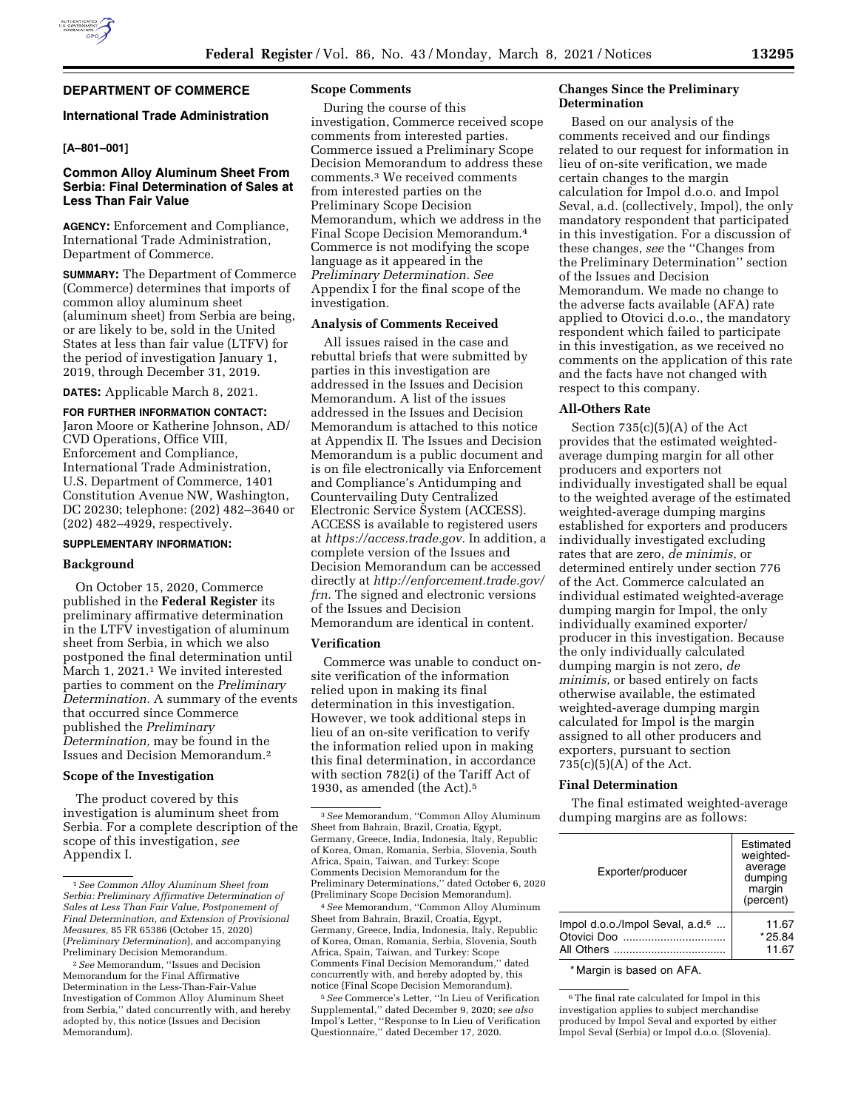# **DEPARTMENT OF COMMERCE**

## **International Trade Administration**

## **[A–801–001]**

### **Common Alloy Aluminum Sheet From Serbia: Final Determination of Sales at Less Than Fair Value**

**AGENCY:** Enforcement and Compliance, International Trade Administration, Department of Commerce.

**SUMMARY:** The Department of Commerce (Commerce) determines that imports of common alloy aluminum sheet (aluminum sheet) from Serbia are being, or are likely to be, sold in the United States at less than fair value (LTFV) for the period of investigation January 1, 2019, through December 31, 2019.

**DATES:** Applicable March 8, 2021.

**FOR FURTHER INFORMATION CONTACT:**  Jaron Moore or Katherine Johnson, AD/ CVD Operations, Office VIII, Enforcement and Compliance, International Trade Administration, U.S. Department of Commerce, 1401 Constitution Avenue NW, Washington, DC 20230; telephone: (202) 482–3640 or (202) 482–4929, respectively.

### **SUPPLEMENTARY INFORMATION:**

### **Background**

On October 15, 2020, Commerce published in the **Federal Register** its preliminary affirmative determination in the LTFV investigation of aluminum sheet from Serbia, in which we also postponed the final determination until March 1, 2021.1 We invited interested parties to comment on the *Preliminary Determination.* A summary of the events that occurred since Commerce published the *Preliminary Determination,* may be found in the Issues and Decision Memorandum.2

## **Scope of the Investigation**

The product covered by this investigation is aluminum sheet from Serbia. For a complete description of the scope of this investigation, *see*  Appendix I.

#### **Scope Comments**

During the course of this investigation, Commerce received scope comments from interested parties. Commerce issued a Preliminary Scope Decision Memorandum to address these comments.3 We received comments from interested parties on the Preliminary Scope Decision Memorandum, which we address in the Final Scope Decision Memorandum.4 Commerce is not modifying the scope language as it appeared in the *Preliminary Determination. See*  Appendix I for the final scope of the investigation.

### **Analysis of Comments Received**

All issues raised in the case and rebuttal briefs that were submitted by parties in this investigation are addressed in the Issues and Decision Memorandum. A list of the issues addressed in the Issues and Decision Memorandum is attached to this notice at Appendix II. The Issues and Decision Memorandum is a public document and is on file electronically via Enforcement and Compliance's Antidumping and Countervailing Duty Centralized Electronic Service System (ACCESS). ACCESS is available to registered users at *[https://access.trade.gov.](https://access.trade.gov)* In addition, a complete version of the Issues and Decision Memorandum can be accessed directly at *[http://enforcement.trade.gov/](http://enforcement.trade.gov/frn)  [frn.](http://enforcement.trade.gov/frn)* The signed and electronic versions of the Issues and Decision

Memorandum are identical in content.

### **Verification**

Commerce was unable to conduct onsite verification of the information relied upon in making its final determination in this investigation. However, we took additional steps in lieu of an on-site verification to verify the information relied upon in making this final determination, in accordance with section 782(i) of the Tariff Act of 1930, as amended (the Act).5

4*See* Memorandum, ''Common Alloy Aluminum Sheet from Bahrain, Brazil, Croatia, Egypt, Germany, Greece, India, Indonesia, Italy, Republic of Korea, Oman, Romania, Serbia, Slovenia, South Africa, Spain, Taiwan, and Turkey: Scope Comments Final Decision Memorandum,'' dated concurrently with, and hereby adopted by, this notice (Final Scope Decision Memorandum).

5*See* Commerce's Letter, ''In Lieu of Verification Supplemental,'' dated December 9, 2020; s*ee also*  Impol's Letter, ''Response to In Lieu of Verification Questionnaire,'' dated December 17, 2020.

### **Changes Since the Preliminary Determination**

Based on our analysis of the comments received and our findings related to our request for information in lieu of on-site verification, we made certain changes to the margin calculation for Impol d.o.o. and Impol Seval, a.d. (collectively, Impol), the only mandatory respondent that participated in this investigation. For a discussion of these changes, *see* the ''Changes from the Preliminary Determination'' section of the Issues and Decision Memorandum. We made no change to the adverse facts available (AFA) rate applied to Otovici d.o.o., the mandatory respondent which failed to participate in this investigation, as we received no comments on the application of this rate and the facts have not changed with respect to this company.

### **All-Others Rate**

Section  $735(c)(5)(A)$  of the Act provides that the estimated weightedaverage dumping margin for all other producers and exporters not individually investigated shall be equal to the weighted average of the estimated weighted-average dumping margins established for exporters and producers individually investigated excluding rates that are zero, *de minimis,* or determined entirely under section 776 of the Act. Commerce calculated an individual estimated weighted-average dumping margin for Impol, the only individually examined exporter/ producer in this investigation. Because the only individually calculated dumping margin is not zero, *de minimis,* or based entirely on facts otherwise available, the estimated weighted-average dumping margin calculated for Impol is the margin assigned to all other producers and exporters, pursuant to section  $735(c)(5)(A)$  of the Act.

#### **Final Determination**

The final estimated weighted-average dumping margins are as follows:

| Estimated<br>weighted-<br>average<br>dumping<br>margin<br>(percent) |  |
|---------------------------------------------------------------------|--|
| 11.67<br>$*25.84$<br>11.67                                          |  |
|                                                                     |  |

\* Margin is based on AFA.

6The final rate calculated for Impol in this investigation applies to subject merchandise produced by Impol Seval and exported by either Impol Seval (Serbia) or Impol d.o.o. (Slovenia).

<sup>1</sup>*See Common Alloy Aluminum Sheet from Serbia: Preliminary Affirmative Determination of Sales at Less Than Fair Value, Postponement of Final Determination, and Extension of Provisional Measures,* 85 FR 65386 (October 15, 2020) (*Preliminary Determination*), and accompanying Preliminary Decision Memorandum.

<sup>2</sup>*See* Memorandum, ''Issues and Decision Memorandum for the Final Affirmative Determination in the Less-Than-Fair-Value Investigation of Common Alloy Aluminum Sheet from Serbia,'' dated concurrently with, and hereby adopted by, this notice (Issues and Decision Memorandum).

<sup>3</sup>*See* Memorandum, ''Common Alloy Aluminum Sheet from Bahrain, Brazil, Croatia, Egypt, Germany, Greece, India, Indonesia, Italy, Republic of Korea, Oman, Romania, Serbia, Slovenia, South Africa, Spain, Taiwan, and Turkey: Scope Comments Decision Memorandum for the Preliminary Determinations,'' dated October 6, 2020 (Preliminary Scope Decision Memorandum).